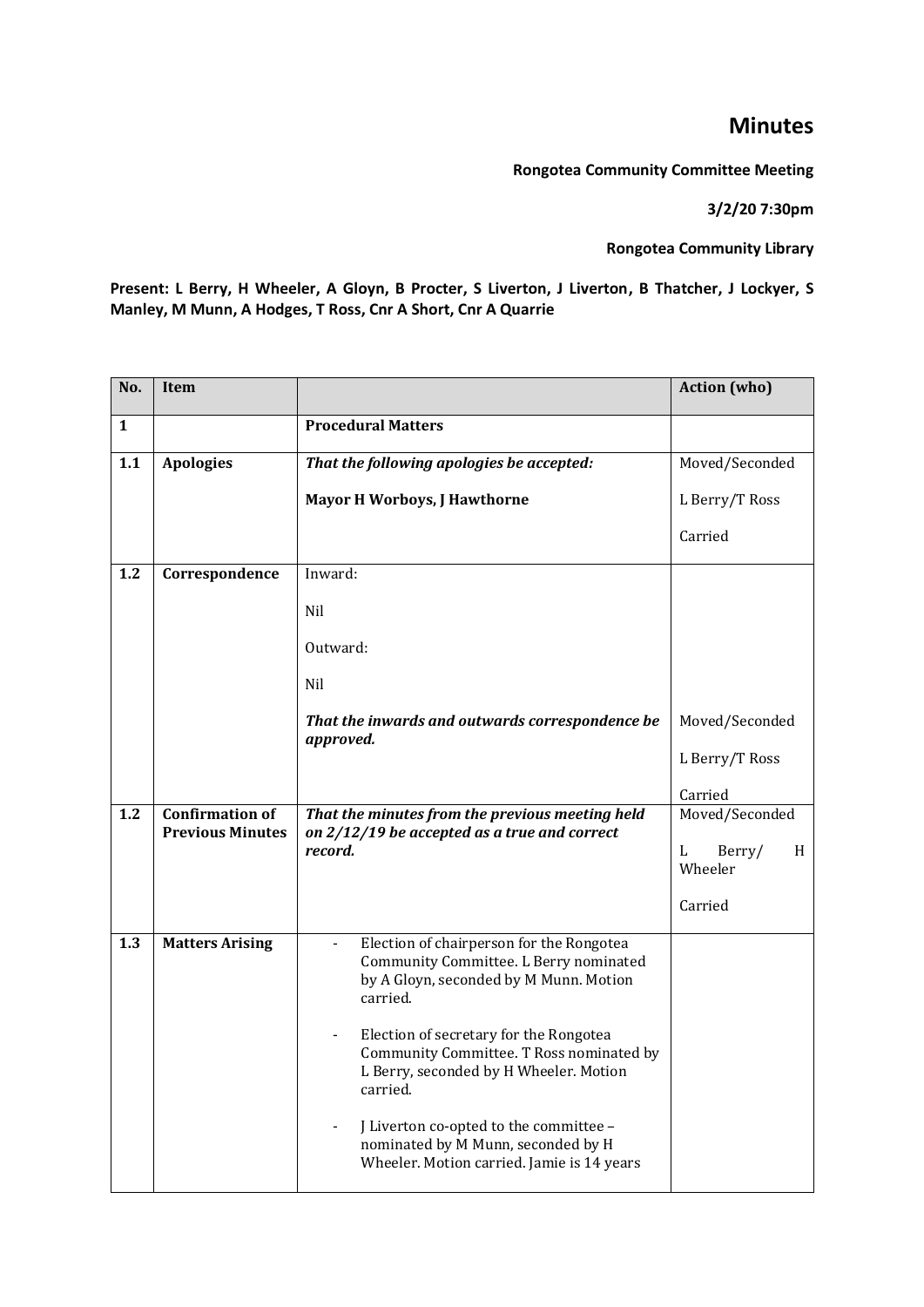## **Minutes**

**Rongotea Community Committee Meeting**

**3/2/20 7:30pm**

**Rongotea Community Library**

**Present: L Berry, H Wheeler, A Gloyn, B Procter, S Liverton, J Liverton, B Thatcher, J Lockyer, S Manley, M Munn, A Hodges, T Ross, Cnr A Short, Cnr A Quarrie**

| No.          | <b>Item</b>                                       |                                                                                                                                                                                                                                                                                                                                                                                                                    | <b>Action</b> (who)         |
|--------------|---------------------------------------------------|--------------------------------------------------------------------------------------------------------------------------------------------------------------------------------------------------------------------------------------------------------------------------------------------------------------------------------------------------------------------------------------------------------------------|-----------------------------|
| $\mathbf{1}$ |                                                   | <b>Procedural Matters</b>                                                                                                                                                                                                                                                                                                                                                                                          |                             |
| 1.1          | <b>Apologies</b>                                  | That the following apologies be accepted:                                                                                                                                                                                                                                                                                                                                                                          | Moved/Seconded              |
|              |                                                   | <b>Mayor H Worboys, J Hawthorne</b>                                                                                                                                                                                                                                                                                                                                                                                | L Berry/T Ross              |
|              |                                                   |                                                                                                                                                                                                                                                                                                                                                                                                                    | Carried                     |
| 1.2          | Correspondence                                    | Inward:                                                                                                                                                                                                                                                                                                                                                                                                            |                             |
|              |                                                   | Nil                                                                                                                                                                                                                                                                                                                                                                                                                |                             |
|              |                                                   | Outward:                                                                                                                                                                                                                                                                                                                                                                                                           |                             |
|              |                                                   | Nil                                                                                                                                                                                                                                                                                                                                                                                                                |                             |
|              |                                                   | That the inwards and outwards correspondence be                                                                                                                                                                                                                                                                                                                                                                    | Moved/Seconded              |
|              |                                                   | approved.                                                                                                                                                                                                                                                                                                                                                                                                          | L Berry/T Ross              |
|              |                                                   |                                                                                                                                                                                                                                                                                                                                                                                                                    | Carried                     |
| 1.2          | <b>Confirmation of</b><br><b>Previous Minutes</b> | That the minutes from the previous meeting held<br>on 2/12/19 be accepted as a true and correct                                                                                                                                                                                                                                                                                                                    | Moved/Seconded              |
|              |                                                   | record.                                                                                                                                                                                                                                                                                                                                                                                                            | Berry/<br>L<br>H<br>Wheeler |
|              |                                                   |                                                                                                                                                                                                                                                                                                                                                                                                                    | Carried                     |
| 1.3          | <b>Matters Arising</b>                            | Election of chairperson for the Rongotea<br>Community Committee. L Berry nominated<br>by A Gloyn, seconded by M Munn. Motion<br>carried.<br>Election of secretary for the Rongotea<br>Community Committee. T Ross nominated by<br>L Berry, seconded by H Wheeler. Motion<br>carried.<br>J Liverton co-opted to the committee -<br>nominated by M Munn, seconded by H<br>Wheeler. Motion carried. Jamie is 14 years |                             |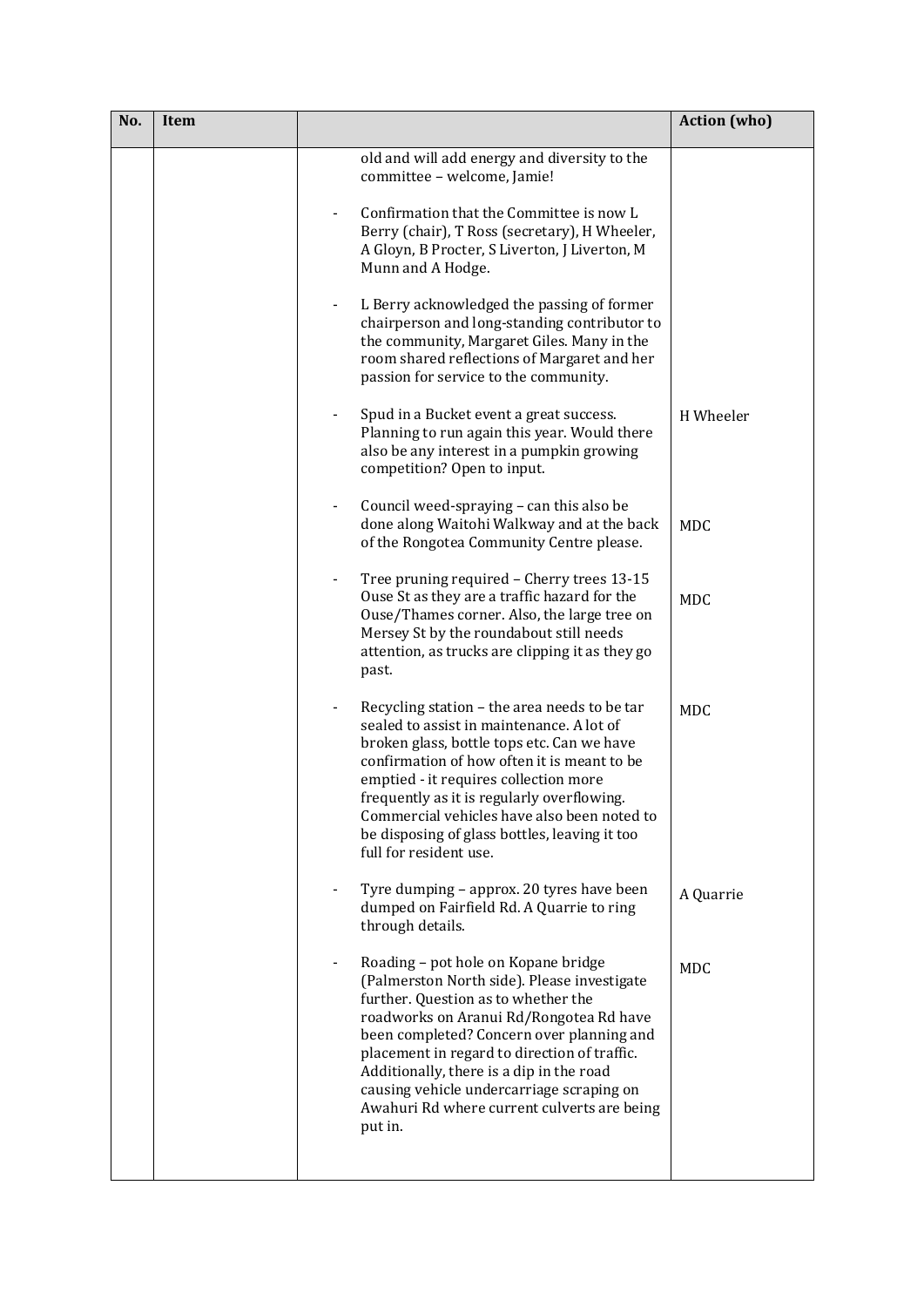| No. | <b>Item</b> |                                                                                                                                                                                                                                                                                                                                                                                                                      | <b>Action</b> (who) |
|-----|-------------|----------------------------------------------------------------------------------------------------------------------------------------------------------------------------------------------------------------------------------------------------------------------------------------------------------------------------------------------------------------------------------------------------------------------|---------------------|
|     |             | old and will add energy and diversity to the<br>committee - welcome, Jamie!                                                                                                                                                                                                                                                                                                                                          |                     |
|     |             | Confirmation that the Committee is now L<br>Berry (chair), T Ross (secretary), H Wheeler,<br>A Gloyn, B Procter, S Liverton, J Liverton, M<br>Munn and A Hodge.                                                                                                                                                                                                                                                      |                     |
|     |             | L Berry acknowledged the passing of former<br>chairperson and long-standing contributor to<br>the community, Margaret Giles. Many in the<br>room shared reflections of Margaret and her<br>passion for service to the community.                                                                                                                                                                                     |                     |
|     |             | Spud in a Bucket event a great success.<br>Planning to run again this year. Would there<br>also be any interest in a pumpkin growing<br>competition? Open to input.                                                                                                                                                                                                                                                  | H Wheeler           |
|     |             | Council weed-spraying - can this also be<br>done along Waitohi Walkway and at the back<br>of the Rongotea Community Centre please.                                                                                                                                                                                                                                                                                   | <b>MDC</b>          |
|     |             | Tree pruning required - Cherry trees 13-15<br>Ouse St as they are a traffic hazard for the<br>Ouse/Thames corner. Also, the large tree on<br>Mersey St by the roundabout still needs<br>attention, as trucks are clipping it as they go<br>past.                                                                                                                                                                     | <b>MDC</b>          |
|     |             | Recycling station - the area needs to be tar<br>sealed to assist in maintenance. A lot of<br>broken glass, bottle tops etc. Can we have<br>confirmation of how often it is meant to be<br>emptied - it requires collection more<br>frequently as it is regularly overflowing.<br>Commercial vehicles have also been noted to<br>be disposing of glass bottles, leaving it too<br>full for resident use.              | <b>MDC</b>          |
|     |             | Tyre dumping - approx. 20 tyres have been<br>dumped on Fairfield Rd. A Quarrie to ring<br>through details.                                                                                                                                                                                                                                                                                                           | A Quarrie           |
|     |             | Roading - pot hole on Kopane bridge<br>(Palmerston North side). Please investigate<br>further. Question as to whether the<br>roadworks on Aranui Rd/Rongotea Rd have<br>been completed? Concern over planning and<br>placement in regard to direction of traffic.<br>Additionally, there is a dip in the road<br>causing vehicle undercarriage scraping on<br>Awahuri Rd where current culverts are being<br>put in. | <b>MDC</b>          |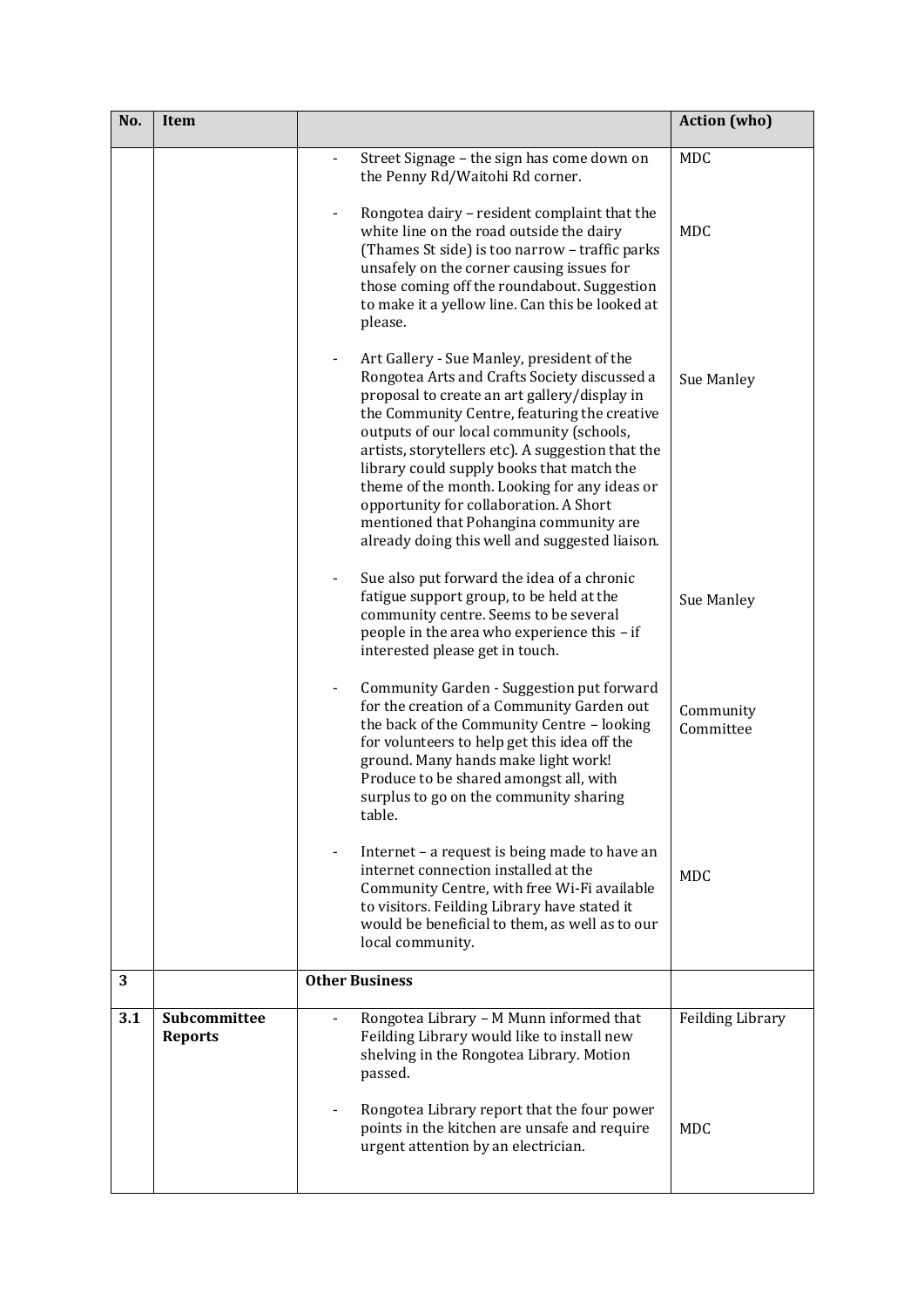| No. | Item                           |                                                                                                                                                                                                                                                                                                                                                                                                                                                                                                                                | <b>Action</b> (who)    |
|-----|--------------------------------|--------------------------------------------------------------------------------------------------------------------------------------------------------------------------------------------------------------------------------------------------------------------------------------------------------------------------------------------------------------------------------------------------------------------------------------------------------------------------------------------------------------------------------|------------------------|
|     |                                | Street Signage - the sign has come down on<br>the Penny Rd/Waitohi Rd corner.                                                                                                                                                                                                                                                                                                                                                                                                                                                  | <b>MDC</b>             |
|     |                                | Rongotea dairy - resident complaint that the<br>white line on the road outside the dairy<br>(Thames St side) is too narrow - traffic parks<br>unsafely on the corner causing issues for<br>those coming off the roundabout. Suggestion<br>to make it a yellow line. Can this be looked at<br>please.                                                                                                                                                                                                                           | MDC                    |
|     |                                | Art Gallery - Sue Manley, president of the<br>Rongotea Arts and Crafts Society discussed a<br>proposal to create an art gallery/display in<br>the Community Centre, featuring the creative<br>outputs of our local community (schools,<br>artists, storytellers etc). A suggestion that the<br>library could supply books that match the<br>theme of the month. Looking for any ideas or<br>opportunity for collaboration. A Short<br>mentioned that Pohangina community are<br>already doing this well and suggested liaison. | Sue Manley             |
|     |                                | Sue also put forward the idea of a chronic<br>fatigue support group, to be held at the<br>community centre. Seems to be several<br>people in the area who experience this - if<br>interested please get in touch.                                                                                                                                                                                                                                                                                                              | Sue Manley             |
|     |                                | Community Garden - Suggestion put forward<br>for the creation of a Community Garden out<br>the back of the Community Centre - looking<br>for volunteers to help get this idea off the<br>ground. Many hands make light work!<br>Produce to be shared amongst all, with<br>surplus to go on the community sharing<br>table.                                                                                                                                                                                                     | Community<br>Committee |
|     |                                | Internet – a request is being made to have an<br>internet connection installed at the<br>Community Centre, with free Wi-Fi available<br>to visitors. Feilding Library have stated it<br>would be beneficial to them, as well as to our<br>local community.                                                                                                                                                                                                                                                                     | <b>MDC</b>             |
| 3   |                                | <b>Other Business</b>                                                                                                                                                                                                                                                                                                                                                                                                                                                                                                          |                        |
| 3.1 | Subcommittee<br><b>Reports</b> | Rongotea Library - M Munn informed that<br>Feilding Library would like to install new<br>shelving in the Rongotea Library. Motion<br>passed.                                                                                                                                                                                                                                                                                                                                                                                   | Feilding Library       |
|     |                                | Rongotea Library report that the four power<br>points in the kitchen are unsafe and require<br>urgent attention by an electrician.                                                                                                                                                                                                                                                                                                                                                                                             | <b>MDC</b>             |